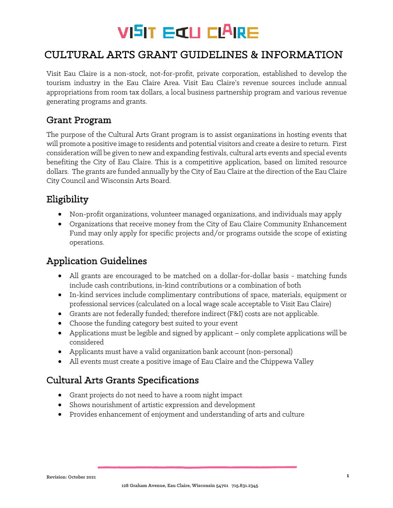# **VISIT EILL CLAIRE**

## CULTURAL ARTS GRANT GUIDELINES & INFORMATION

Visit Eau Claire is a non-stock, not-for-profit, private corporation, established to develop the tourism industry in the Eau Claire Area. Visit Eau Claire's revenue sources include annual appropriations from room tax dollars, a local business partnership program and various revenue generating programs and grants.

#### Grant Program

The purpose of the Cultural Arts Grant program is to assist organizations in hosting events that will promote a positive image to residents and potential visitors and create a desire to return. First consideration will be given to new and expanding festivals, cultural arts events and special events benefiting the City of Eau Claire. This is a competitive application, based on limited resource dollars. The grants are funded annually by the City of Eau Claire at the direction of the Eau Claire City Council and Wisconsin Arts Board.

## Eligibility

- Non-profit organizations, volunteer managed organizations, and individuals may apply
- Organizations that receive money from the City of Eau Claire Community Enhancement Fund may only apply for specific projects and/or programs outside the scope of existing operations.

### Application Guidelines

- All grants are encouraged to be matched on a dollar-for-dollar basis matching funds include cash contributions, in-kind contributions or a combination of both
- In-kind services include complimentary contributions of space, materials, equipment or professional services (calculated on a local wage scale acceptable to Visit Eau Claire)
- Grants are not federally funded; therefore indirect (F&I) costs are not applicable.
- Choose the funding category best suited to your event
- Applications must be legible and signed by applicant only complete applications will be considered
- Applicants must have a valid organization bank account (non-personal)
- All events must create a positive image of Eau Claire and the Chippewa Valley

### Cultural Arts Grants Specifications

- Grant projects do not need to have a room night impact
- Shows nourishment of artistic expression and development
- Provides enhancement of enjoyment and understanding of arts and culture